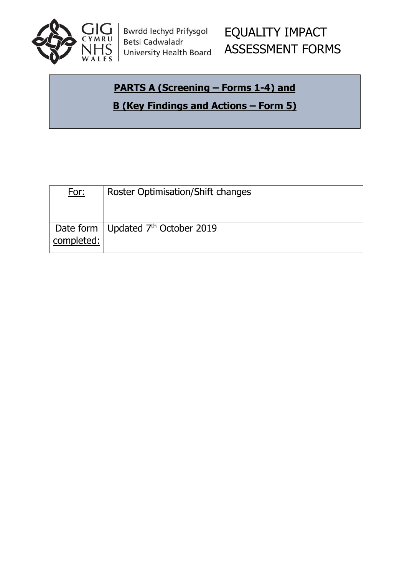

Bwrdd Iechyd Prifysgol **Betsi Cadwaladr University Health Board** 

# EQUALITY IMPACT ASSESSMENT FORMS

#### **PARTS A (Screening – Forms 1-4) and**

**B (Key Findings and Actions – Form 5)**

| <b>Roster Optimisation/Shift changes</b> |
|------------------------------------------|
|                                          |
|                                          |
| Date form   Updated $7th$ October 2019   |
|                                          |
|                                          |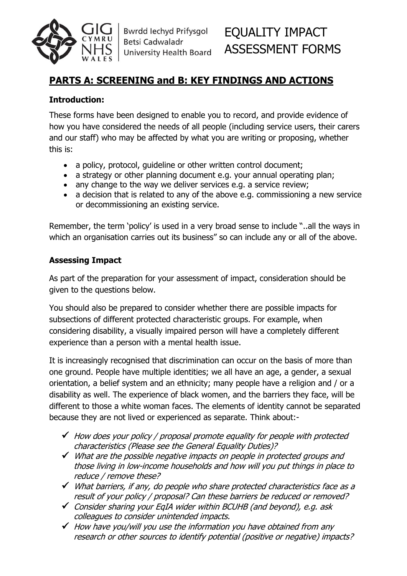

**Bwrdd lechyd Prifysgol** Betsi Cadwaladr University Health Board

# EQUALITY IMPACT ASSESSMENT FORMS

#### **PARTS A: SCREENING and B: KEY FINDINGS AND ACTIONS**

#### **Introduction:**

These forms have been designed to enable you to record, and provide evidence of how you have considered the needs of all people (including service users, their carers and our staff) who may be affected by what you are writing or proposing, whether this is:

- a policy, protocol, quideline or other written control document;
- a strategy or other planning document e.g. your annual operating plan;
- any change to the way we deliver services e.g. a service review;
- a decision that is related to any of the above e.g. commissioning a new service or decommissioning an existing service.

Remember, the term 'policy' is used in a very broad sense to include "..all the ways in which an organisation carries out its business" so can include any or all of the above.

#### **Assessing Impact**

As part of the preparation for your assessment of impact, consideration should be given to the questions below.

You should also be prepared to consider whether there are possible impacts for subsections of different protected characteristic groups. For example, when considering disability, a visually impaired person will have a completely different experience than a person with a mental health issue.

It is increasingly recognised that discrimination can occur on the basis of more than one ground. People have multiple identities; we all have an age, a gender, a sexual orientation, a belief system and an ethnicity; many people have a religion and / or a disability as well. The experience of black women, and the barriers they face, will be different to those a white woman faces. The elements of identity cannot be separated because they are not lived or experienced as separate. Think about:-

- $\checkmark$  How does your policy / proposal promote equality for people with protected characteristics (Please see the General Equality Duties)?
- $\checkmark$  What are the possible negative impacts on people in protected groups and those living in low-income households and how will you put things in place to reduce / remove these?
- $\checkmark$  What barriers, if any, do people who share protected characteristics face as a result of your policy / proposal? Can these barriers be reduced or removed?
- $\checkmark$  Consider sharing your EqIA wider within BCUHB (and beyond), e.g. ask colleagues to consider unintended impacts.
- $\checkmark$  How have you/will you use the information you have obtained from any research or other sources to identify potential (positive or negative) impacts?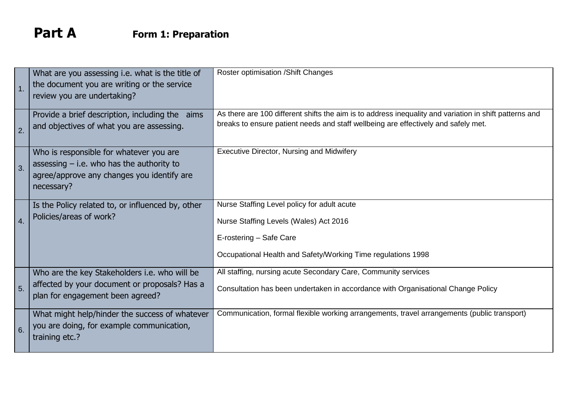# **Part A Form 1: Preparation**

| 1 <sub>1</sub>   | What are you assessing i.e. what is the title of<br>the document you are writing or the service<br>review you are undertaking?                     | Roster optimisation / Shift Changes                                                                                                                                                          |
|------------------|----------------------------------------------------------------------------------------------------------------------------------------------------|----------------------------------------------------------------------------------------------------------------------------------------------------------------------------------------------|
| 2.               | Provide a brief description, including the aims<br>and objectives of what you are assessing.                                                       | As there are 100 different shifts the aim is to address inequality and variation in shift patterns and<br>breaks to ensure patient needs and staff wellbeing are effectively and safely met. |
| 3.               | Who is responsible for whatever you are<br>assessing $-$ i.e. who has the authority to<br>agree/approve any changes you identify are<br>necessary? | <b>Executive Director, Nursing and Midwifery</b>                                                                                                                                             |
| $\overline{4}$ . | Is the Policy related to, or influenced by, other<br>Policies/areas of work?                                                                       | Nurse Staffing Level policy for adult acute<br>Nurse Staffing Levels (Wales) Act 2016<br>E-rostering - Safe Care<br>Occupational Health and Safety/Working Time regulations 1998             |
| 5.               | Who are the key Stakeholders i.e. who will be<br>affected by your document or proposals? Has a<br>plan for engagement been agreed?                 | All staffing, nursing acute Secondary Care, Community services<br>Consultation has been undertaken in accordance with Organisational Change Policy                                           |
| 6.               | What might help/hinder the success of whatever<br>you are doing, for example communication,<br>training etc.?                                      | Communication, formal flexible working arrangements, travel arrangements (public transport)                                                                                                  |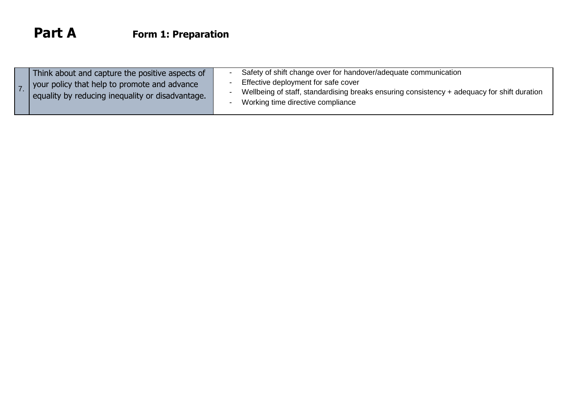| Think about and capture the positive aspects of<br>your policy that help to promote and advance<br>equality by reducing inequality or disadvantage. |
|-----------------------------------------------------------------------------------------------------------------------------------------------------|
|-----------------------------------------------------------------------------------------------------------------------------------------------------|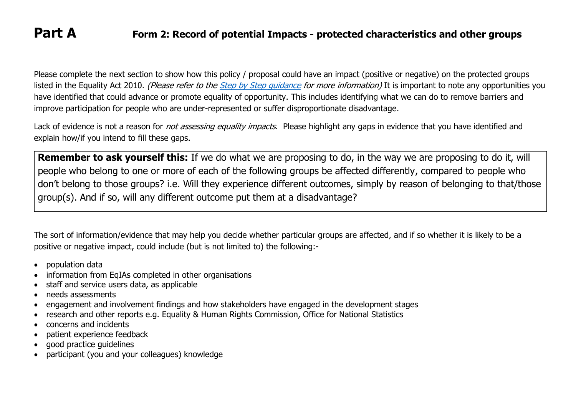#### **Part A Form 2: Record of potential Impacts - protected characteristics and other groups**

Please complete the next section to show how this policy / proposal could have an impact (positive or negative) on the protected groups listed in the Equality Act 2010. (Please refer to the Step by Step quidance for more information) It is important to note any opportunities you have identified that could advance or promote equality of opportunity. This includes identifying what we can do to remove barriers and improve participation for people who are under-represented or suffer disproportionate disadvantage.

Lack of evidence is not a reason for *not assessing equality impacts*. Please highlight any gaps in evidence that you have identified and explain how/if you intend to fill these gaps.

**Remember to ask yourself this:** If we do what we are proposing to do, in the way we are proposing to do it, will people who belong to one or more of each of the following groups be affected differently, compared to people who don't belong to those groups? i.e. Will they experience different outcomes, simply by reason of belonging to that/those group(s). And if so, will any different outcome put them at a disadvantage?

The sort of information/evidence that may help you decide whether particular groups are affected, and if so whether it is likely to be a positive or negative impact, could include (but is not limited to) the following:-

- population data
- information from EqIAs completed in other organisations
- staff and service users data, as applicable
- needs assessments
- engagement and involvement findings and how stakeholders have engaged in the development stages
- research and other reports e.g. Equality & Human Rights Commission, Office for National Statistics
- concerns and incidents
- patient experience feedback
- good practice guidelines
- participant (you and your colleagues) knowledge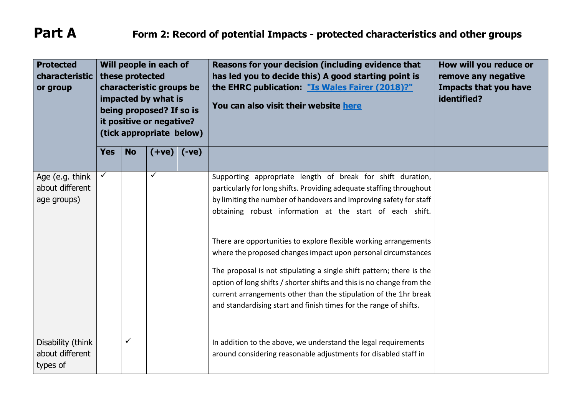| <b>Protected</b><br>characteristic<br>or group    |              | these protected | Will people in each of<br>characteristic groups be<br>impacted by what is<br>being proposed? If so is<br>it positive or negative?<br>(tick appropriate below) |         | Reasons for your decision (including evidence that<br>has led you to decide this) A good starting point is<br>the EHRC publication: "Is Wales Fairer (2018)?"<br>You can also visit their website here                                                                                                                                                                                                                                                                                                                                                                                                                                                                                              | How will you reduce or<br>remove any negative<br><b>Impacts that you have</b><br>identified? |
|---------------------------------------------------|--------------|-----------------|---------------------------------------------------------------------------------------------------------------------------------------------------------------|---------|-----------------------------------------------------------------------------------------------------------------------------------------------------------------------------------------------------------------------------------------------------------------------------------------------------------------------------------------------------------------------------------------------------------------------------------------------------------------------------------------------------------------------------------------------------------------------------------------------------------------------------------------------------------------------------------------------------|----------------------------------------------------------------------------------------------|
|                                                   | <b>Yes</b>   | <b>No</b>       | $(+ve)$                                                                                                                                                       | $(-ve)$ |                                                                                                                                                                                                                                                                                                                                                                                                                                                                                                                                                                                                                                                                                                     |                                                                                              |
| Age (e.g. think<br>about different<br>age groups) | $\checkmark$ |                 | $\checkmark$                                                                                                                                                  |         | Supporting appropriate length of break for shift duration,<br>particularly for long shifts. Providing adequate staffing throughout<br>by limiting the number of handovers and improving safety for staff<br>obtaining robust information at the start of each shift.<br>There are opportunities to explore flexible working arrangements<br>where the proposed changes impact upon personal circumstances<br>The proposal is not stipulating a single shift pattern; there is the<br>option of long shifts / shorter shifts and this is no change from the<br>current arrangements other than the stipulation of the 1hr break<br>and standardising start and finish times for the range of shifts. |                                                                                              |
| Disability (think<br>about different<br>types of  |              | $\checkmark$    |                                                                                                                                                               |         | In addition to the above, we understand the legal requirements<br>around considering reasonable adjustments for disabled staff in                                                                                                                                                                                                                                                                                                                                                                                                                                                                                                                                                                   |                                                                                              |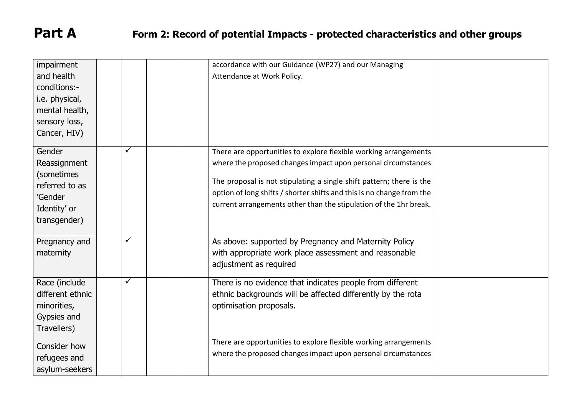| impairment<br>and health<br>conditions:-<br>i.e. physical,<br>mental health,<br>sensory loss,<br>Cancer, HIV) |              | accordance with our Guidance (WP27) and our Managing<br>Attendance at Work Policy.                                                                                                                                                                                                                                                                      |  |
|---------------------------------------------------------------------------------------------------------------|--------------|---------------------------------------------------------------------------------------------------------------------------------------------------------------------------------------------------------------------------------------------------------------------------------------------------------------------------------------------------------|--|
| Gender<br>Reassignment<br>(sometimes<br>referred to as<br>'Gender<br>Identity' or<br>transgender)             | ✓            | There are opportunities to explore flexible working arrangements<br>where the proposed changes impact upon personal circumstances<br>The proposal is not stipulating a single shift pattern; there is the<br>option of long shifts / shorter shifts and this is no change from the<br>current arrangements other than the stipulation of the 1hr break. |  |
| Pregnancy and<br>maternity                                                                                    | ✓            | As above: supported by Pregnancy and Maternity Policy<br>with appropriate work place assessment and reasonable<br>adjustment as required                                                                                                                                                                                                                |  |
| Race (include<br>different ethnic<br>minorities,<br>Gypsies and<br>Travellers)                                | $\checkmark$ | There is no evidence that indicates people from different<br>ethnic backgrounds will be affected differently by the rota<br>optimisation proposals.                                                                                                                                                                                                     |  |
| Consider how<br>refugees and<br>asylum-seekers                                                                |              | There are opportunities to explore flexible working arrangements<br>where the proposed changes impact upon personal circumstances                                                                                                                                                                                                                       |  |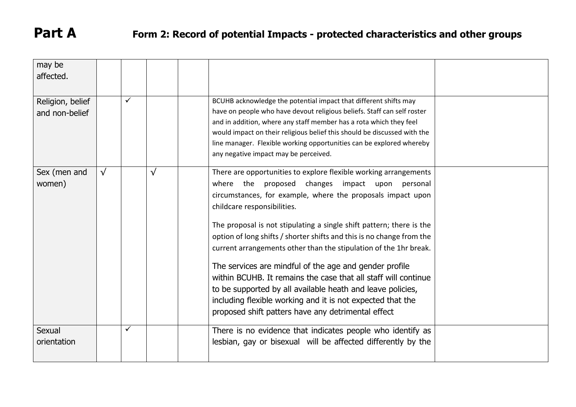# **Part A Form 2: Record of potential Impacts - protected characteristics and other groups**

| may be           |           |              |           |                                                                          |  |
|------------------|-----------|--------------|-----------|--------------------------------------------------------------------------|--|
| affected.        |           |              |           |                                                                          |  |
|                  |           |              |           |                                                                          |  |
|                  |           | $\checkmark$ |           |                                                                          |  |
| Religion, belief |           |              |           | BCUHB acknowledge the potential impact that different shifts may         |  |
| and non-belief   |           |              |           | have on people who have devout religious beliefs. Staff can self roster  |  |
|                  |           |              |           | and in addition, where any staff member has a rota which they feel       |  |
|                  |           |              |           | would impact on their religious belief this should be discussed with the |  |
|                  |           |              |           | line manager. Flexible working opportunities can be explored whereby     |  |
|                  |           |              |           | any negative impact may be perceived.                                    |  |
|                  |           |              |           |                                                                          |  |
| Sex (men and     | $\sqrt{}$ |              | $\sqrt{}$ | There are opportunities to explore flexible working arrangements         |  |
| women)           |           |              |           | where the proposed changes impact upon personal                          |  |
|                  |           |              |           |                                                                          |  |
|                  |           |              |           | circumstances, for example, where the proposals impact upon              |  |
|                  |           |              |           | childcare responsibilities.                                              |  |
|                  |           |              |           | The proposal is not stipulating a single shift pattern; there is the     |  |
|                  |           |              |           |                                                                          |  |
|                  |           |              |           | option of long shifts / shorter shifts and this is no change from the    |  |
|                  |           |              |           | current arrangements other than the stipulation of the 1hr break.        |  |
|                  |           |              |           |                                                                          |  |
|                  |           |              |           | The services are mindful of the age and gender profile                   |  |
|                  |           |              |           | within BCUHB. It remains the case that all staff will continue           |  |
|                  |           |              |           | to be supported by all available heath and leave policies,               |  |
|                  |           |              |           | including flexible working and it is not expected that the               |  |
|                  |           |              |           | proposed shift patters have any detrimental effect                       |  |
|                  |           |              |           |                                                                          |  |
| Sexual           |           | $\checkmark$ |           | There is no evidence that indicates people who identify as               |  |
| orientation      |           |              |           | lesbian, gay or bisexual will be affected differently by the             |  |
|                  |           |              |           |                                                                          |  |
|                  |           |              |           |                                                                          |  |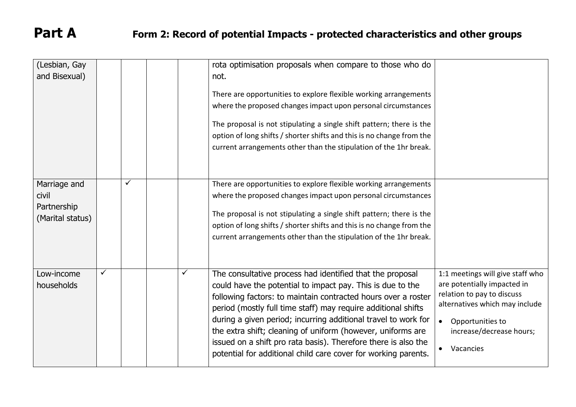| (Lesbian, Gay<br>and Bisexual)                           |              |   | rota optimisation proposals when compare to those who do<br>not.                                                                                                                                                                                                                                                                                                                                                                                                                                                               |                                                                                                                                                                                                           |
|----------------------------------------------------------|--------------|---|--------------------------------------------------------------------------------------------------------------------------------------------------------------------------------------------------------------------------------------------------------------------------------------------------------------------------------------------------------------------------------------------------------------------------------------------------------------------------------------------------------------------------------|-----------------------------------------------------------------------------------------------------------------------------------------------------------------------------------------------------------|
|                                                          |              |   | There are opportunities to explore flexible working arrangements<br>where the proposed changes impact upon personal circumstances<br>The proposal is not stipulating a single shift pattern; there is the<br>option of long shifts / shorter shifts and this is no change from the<br>current arrangements other than the stipulation of the 1hr break.                                                                                                                                                                        |                                                                                                                                                                                                           |
| Marriage and<br>civil<br>Partnership<br>(Marital status) | $\checkmark$ |   | There are opportunities to explore flexible working arrangements<br>where the proposed changes impact upon personal circumstances<br>The proposal is not stipulating a single shift pattern; there is the<br>option of long shifts / shorter shifts and this is no change from the<br>current arrangements other than the stipulation of the 1hr break.                                                                                                                                                                        |                                                                                                                                                                                                           |
| Low-income<br>households                                 | ✓            | ✓ | The consultative process had identified that the proposal<br>could have the potential to impact pay. This is due to the<br>following factors: to maintain contracted hours over a roster<br>period (mostly full time staff) may require additional shifts<br>during a given period; incurring additional travel to work for<br>the extra shift; cleaning of uniform (however, uniforms are<br>issued on a shift pro rata basis). Therefore there is also the<br>potential for additional child care cover for working parents. | 1:1 meetings will give staff who<br>are potentially impacted in<br>relation to pay to discuss<br>alternatives which may include<br>Opportunities to<br>$\bullet$<br>increase/decrease hours;<br>Vacancies |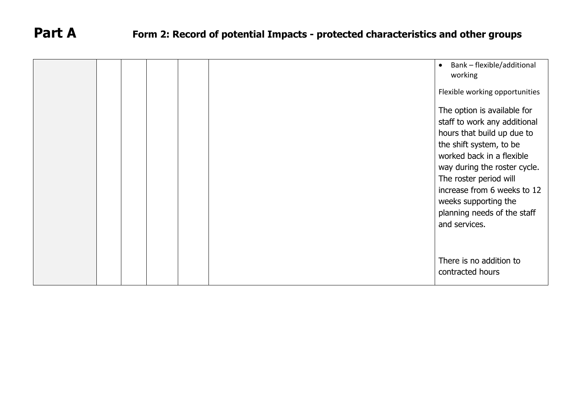|  |  |  | Bank - flexible/additional<br>$\bullet$<br>working                                                                                                                                                                                                                                                                 |
|--|--|--|--------------------------------------------------------------------------------------------------------------------------------------------------------------------------------------------------------------------------------------------------------------------------------------------------------------------|
|  |  |  | Flexible working opportunities                                                                                                                                                                                                                                                                                     |
|  |  |  | The option is available for<br>staff to work any additional<br>hours that build up due to<br>the shift system, to be<br>worked back in a flexible<br>way during the roster cycle.<br>The roster period will<br>increase from 6 weeks to 12<br>weeks supporting the<br>planning needs of the staff<br>and services. |
|  |  |  |                                                                                                                                                                                                                                                                                                                    |
|  |  |  | There is no addition to<br>contracted hours                                                                                                                                                                                                                                                                        |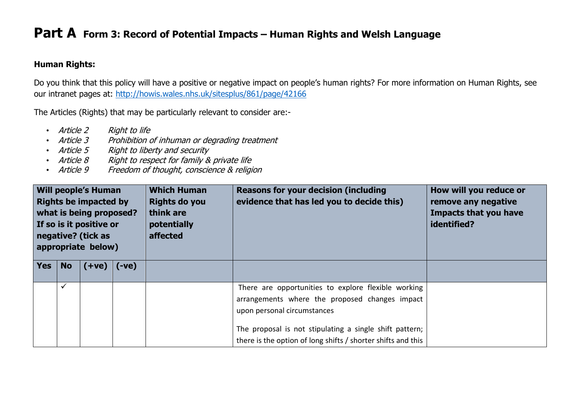#### **Human Rights:**

Do you think that this policy will have a positive or negative impact on people's human rights? For more information on Human Rights, see our intranet pages at:<http://howis.wales.nhs.uk/sitesplus/861/page/42166>

The Articles (Rights) that may be particularly relevant to consider are:-

- Article 2 Right to life
- Article 3 Prohibition of inhuman or degrading treatment
- Article 5 Right to liberty and security
- Article 8 Right to respect for family & private life
- Article 9 Freedom of thought, conscience & religion

| <b>Will people's Human</b><br><b>Rights be impacted by</b><br>what is being proposed?<br>If so is it positive or<br>negative? (tick as<br>appropriate below) |              |  |         | <b>Which Human</b><br><b>Rights do you</b><br>think are<br>potentially<br>affected | <b>Reasons for your decision (including</b><br>evidence that has led you to decide this)                                                                                                                                                                        | How will you reduce or<br>remove any negative<br><b>Impacts that you have</b><br>identified? |
|--------------------------------------------------------------------------------------------------------------------------------------------------------------|--------------|--|---------|------------------------------------------------------------------------------------|-----------------------------------------------------------------------------------------------------------------------------------------------------------------------------------------------------------------------------------------------------------------|----------------------------------------------------------------------------------------------|
| Yes                                                                                                                                                          | <b>No</b>    |  | $(-ve)$ |                                                                                    |                                                                                                                                                                                                                                                                 |                                                                                              |
|                                                                                                                                                              | $\checkmark$ |  |         |                                                                                    | There are opportunities to explore flexible working<br>arrangements where the proposed changes impact<br>upon personal circumstances<br>The proposal is not stipulating a single shift pattern;<br>there is the option of long shifts / shorter shifts and this |                                                                                              |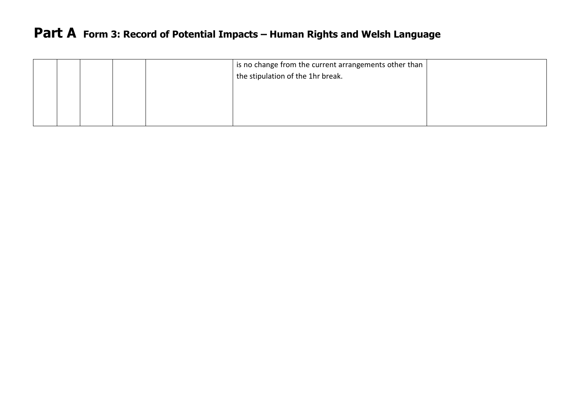|  |  | is no change from the current arrangements other than<br>the stipulation of the 1hr break. |  |
|--|--|--------------------------------------------------------------------------------------------|--|
|  |  |                                                                                            |  |
|  |  |                                                                                            |  |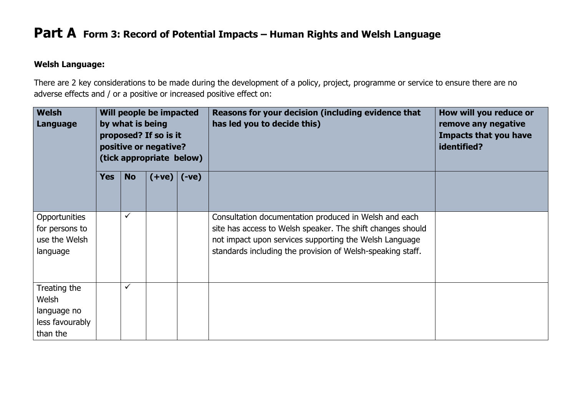#### **Welsh Language:**

There are 2 key considerations to be made during the development of a policy, project, programme or service to ensure there are no adverse effects and / or a positive or increased positive effect on:

| <b>Welsh</b><br>Language                                            | Will people be impacted<br>by what is being<br>proposed? If so is it<br>positive or negative?<br>(tick appropriate below) |              |  |                 | Reasons for your decision (including evidence that<br>has led you to decide this)                                                                                                                                                           | How will you reduce or<br>remove any negative<br><b>Impacts that you have</b><br>identified? |
|---------------------------------------------------------------------|---------------------------------------------------------------------------------------------------------------------------|--------------|--|-----------------|---------------------------------------------------------------------------------------------------------------------------------------------------------------------------------------------------------------------------------------------|----------------------------------------------------------------------------------------------|
|                                                                     | <b>Yes</b>                                                                                                                | <b>No</b>    |  | $(+ve)$ $(-ve)$ |                                                                                                                                                                                                                                             |                                                                                              |
| Opportunities<br>for persons to<br>use the Welsh<br>language        |                                                                                                                           | $\checkmark$ |  |                 | Consultation documentation produced in Welsh and each<br>site has access to Welsh speaker. The shift changes should<br>not impact upon services supporting the Welsh Language<br>standards including the provision of Welsh-speaking staff. |                                                                                              |
| Treating the<br>Welsh<br>language no<br>less favourably<br>than the |                                                                                                                           | $\checkmark$ |  |                 |                                                                                                                                                                                                                                             |                                                                                              |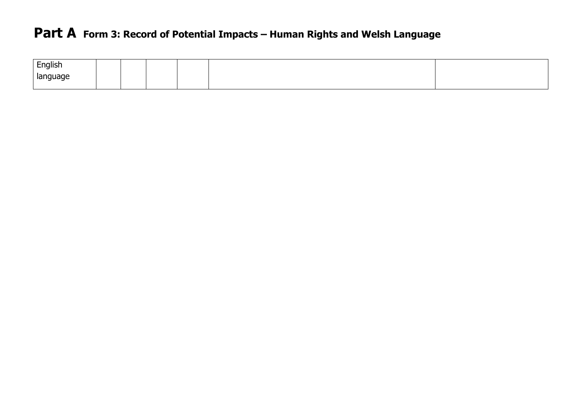| English           |  |  |  |
|-------------------|--|--|--|
| language<br>- − ⊃ |  |  |  |
|                   |  |  |  |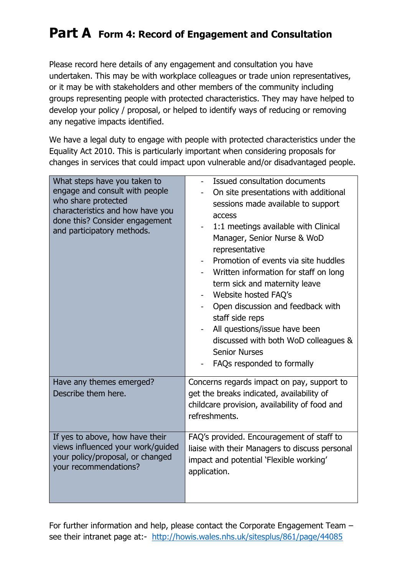## **Part A Form 4: Record of Engagement and Consultation**

Please record here details of any engagement and consultation you have undertaken. This may be with workplace colleagues or trade union representatives, or it may be with stakeholders and other members of the community including groups representing people with protected characteristics. They may have helped to develop your policy / proposal, or helped to identify ways of reducing or removing any negative impacts identified.

We have a legal duty to engage with people with protected characteristics under the Equality Act 2010. This is particularly important when considering proposals for changes in services that could impact upon vulnerable and/or disadvantaged people.

| What steps have you taken to<br>engage and consult with people<br>who share protected<br>characteristics and how have you<br>done this? Consider engagement<br>and participatory methods. | Issued consultation documents<br>On site presentations with additional<br>sessions made available to support<br>access<br>1:1 meetings available with Clinical<br>Manager, Senior Nurse & WoD<br>representative<br>Promotion of events via site huddles<br>Written information for staff on long<br>term sick and maternity leave<br>Website hosted FAQ's<br>Open discussion and feedback with<br>staff side reps<br>All questions/issue have been<br>discussed with both WoD colleagues &<br><b>Senior Nurses</b><br>FAQs responded to formally |  |
|-------------------------------------------------------------------------------------------------------------------------------------------------------------------------------------------|--------------------------------------------------------------------------------------------------------------------------------------------------------------------------------------------------------------------------------------------------------------------------------------------------------------------------------------------------------------------------------------------------------------------------------------------------------------------------------------------------------------------------------------------------|--|
| Have any themes emerged?<br>Describe them here.                                                                                                                                           | Concerns regards impact on pay, support to<br>get the breaks indicated, availability of<br>childcare provision, availability of food and<br>refreshments.                                                                                                                                                                                                                                                                                                                                                                                        |  |
| If yes to above, how have their<br>views influenced your work/guided<br>your policy/proposal, or changed<br>your recommendations?                                                         | FAQ's provided. Encouragement of staff to<br>liaise with their Managers to discuss personal<br>impact and potential 'Flexible working'<br>application.                                                                                                                                                                                                                                                                                                                                                                                           |  |

For further information and help, please contact the Corporate Engagement Team – see their intranet page at:- <http://howis.wales.nhs.uk/sitesplus/861/page/44085>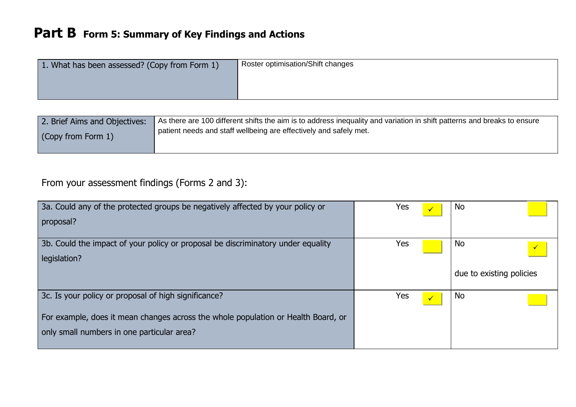| 1. What has been assessed? (Copy from Form 1) | Roster optimisation/Shift changes |
|-----------------------------------------------|-----------------------------------|
|                                               |                                   |
|                                               |                                   |

| 2. Brief Aims and Objectives: | As there are 100 different shifts the aim is to address inequality and variation in shift patterns and breaks to ensure |
|-------------------------------|-------------------------------------------------------------------------------------------------------------------------|
| (Copy from Form 1)            | patient needs and staff wellbeing are effectively and safely met.                                                       |

#### From your assessment findings (Forms 2 and 3):

| 3a. Could any of the protected groups be negatively affected by your policy or<br>proposal?                                                                                             | Yes | <b>No</b>                                    |
|-----------------------------------------------------------------------------------------------------------------------------------------------------------------------------------------|-----|----------------------------------------------|
| 3b. Could the impact of your policy or proposal be discriminatory under equality<br>legislation?                                                                                        | Yes | No<br>$\sqrt{7}$<br>due to existing policies |
| 3c. Is your policy or proposal of high significance?<br>For example, does it mean changes across the whole population or Health Board, or<br>only small numbers in one particular area? | Yes | <b>No</b>                                    |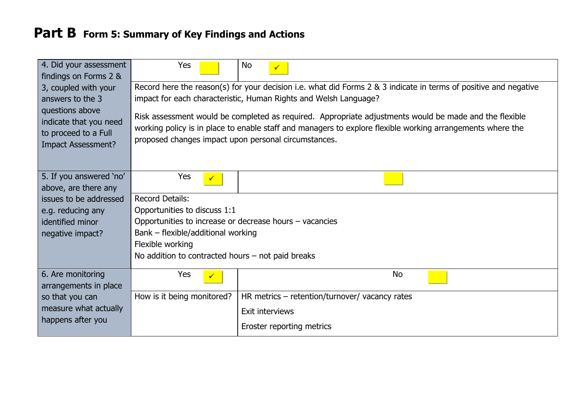| 4. Did your assessment                                                                         | Yes                                                                                                              | <b>No</b><br>$\checkmark$                                                                                                                                                                                            |  |  |  |
|------------------------------------------------------------------------------------------------|------------------------------------------------------------------------------------------------------------------|----------------------------------------------------------------------------------------------------------------------------------------------------------------------------------------------------------------------|--|--|--|
| findings on Forms 2 &                                                                          |                                                                                                                  |                                                                                                                                                                                                                      |  |  |  |
| 3, coupled with your                                                                           | Record here the reason(s) for your decision i.e. what did Forms 2 & 3 indicate in terms of positive and negative |                                                                                                                                                                                                                      |  |  |  |
| answers to the 3                                                                               |                                                                                                                  | impact for each characteristic, Human Rights and Welsh Language?                                                                                                                                                     |  |  |  |
| questions above<br>indicate that you need<br>to proceed to a Full<br><b>Impact Assessment?</b> | proposed changes impact upon personal circumstances.                                                             | Risk assessment would be completed as required. Appropriate adjustments would be made and the flexible<br>working policy is in place to enable staff and managers to explore flexible working arrangements where the |  |  |  |
| 5. If you answered 'no'                                                                        | Yes                                                                                                              |                                                                                                                                                                                                                      |  |  |  |
| above, are there any                                                                           |                                                                                                                  |                                                                                                                                                                                                                      |  |  |  |
| issues to be addressed                                                                         | <b>Record Details:</b>                                                                                           |                                                                                                                                                                                                                      |  |  |  |
| e.g. reducing any                                                                              | Opportunities to discuss 1:1                                                                                     |                                                                                                                                                                                                                      |  |  |  |
| identified minor                                                                               | Opportunities to increase or decrease hours - vacancies                                                          |                                                                                                                                                                                                                      |  |  |  |
| negative impact?                                                                               | Bank - flexible/additional working                                                                               |                                                                                                                                                                                                                      |  |  |  |
|                                                                                                | Flexible working                                                                                                 |                                                                                                                                                                                                                      |  |  |  |
|                                                                                                | No addition to contracted hours $-$ not paid breaks                                                              |                                                                                                                                                                                                                      |  |  |  |
| 6. Are monitoring                                                                              | Yes                                                                                                              | <b>No</b>                                                                                                                                                                                                            |  |  |  |
| arrangements in place                                                                          |                                                                                                                  |                                                                                                                                                                                                                      |  |  |  |
| so that you can                                                                                | How is it being monitored?                                                                                       | HR metrics $-$ retention/turnover/ vacancy rates                                                                                                                                                                     |  |  |  |
| measure what actually                                                                          |                                                                                                                  | Exit interviews                                                                                                                                                                                                      |  |  |  |
| happens after you                                                                              |                                                                                                                  | Eroster reporting metrics                                                                                                                                                                                            |  |  |  |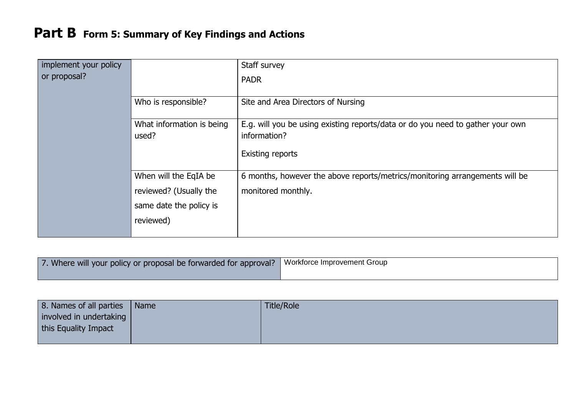| implement your policy |                                    | Staff survey                                                                                   |
|-----------------------|------------------------------------|------------------------------------------------------------------------------------------------|
| or proposal?          |                                    | <b>PADR</b>                                                                                    |
|                       | Who is responsible?                | Site and Area Directors of Nursing                                                             |
|                       | What information is being<br>used? | E.g. will you be using existing reports/data or do you need to gather your own<br>information? |
|                       |                                    | <b>Existing reports</b>                                                                        |
|                       | When will the EqIA be              | 6 months, however the above reports/metrics/monitoring arrangements will be                    |
|                       | reviewed? (Usually the             | monitored monthly.                                                                             |
|                       | same date the policy is            |                                                                                                |
|                       | reviewed)                          |                                                                                                |

| 7. Where will your policy or proposal be forwarded for approval? | Workforce Improvement Group |
|------------------------------------------------------------------|-----------------------------|
|------------------------------------------------------------------|-----------------------------|

| 8. Names of all parties   Name | Title/Role |
|--------------------------------|------------|
| involved in undertaking        |            |
| this Equality Impact           |            |
|                                |            |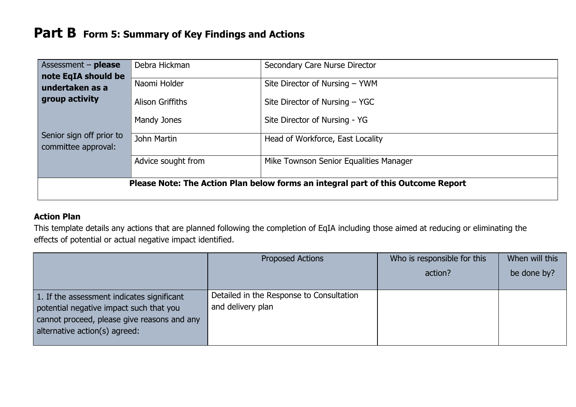| Assessment - please                                                              | Debra Hickman           | Secondary Care Nurse Director          |  |
|----------------------------------------------------------------------------------|-------------------------|----------------------------------------|--|
| note EqIA should be                                                              |                         |                                        |  |
| undertaken as a                                                                  | Naomi Holder            | Site Director of Nursing - YWM         |  |
| group activity                                                                   | <b>Alison Griffiths</b> | Site Director of Nursing - YGC         |  |
|                                                                                  | Mandy Jones             | Site Director of Nursing - YG          |  |
| Senior sign off prior to<br>committee approval:                                  | John Martin             | Head of Workforce, East Locality       |  |
|                                                                                  | Advice sought from      | Mike Townson Senior Equalities Manager |  |
| Please Note: The Action Plan below forms an integral part of this Outcome Report |                         |                                        |  |

#### **Action Plan**

This template details any actions that are planned following the completion of EqIA including those aimed at reducing or eliminating the effects of potential or actual negative impact identified.

|                                                                                                                                                                       | <b>Proposed Actions</b>                                       | Who is responsible for this | When will this |
|-----------------------------------------------------------------------------------------------------------------------------------------------------------------------|---------------------------------------------------------------|-----------------------------|----------------|
|                                                                                                                                                                       |                                                               | action?                     | be done by?    |
| 1. If the assessment indicates significant<br>potential negative impact such that you<br>cannot proceed, please give reasons and any<br>alternative action(s) agreed: | Detailed in the Response to Consultation<br>and delivery plan |                             |                |